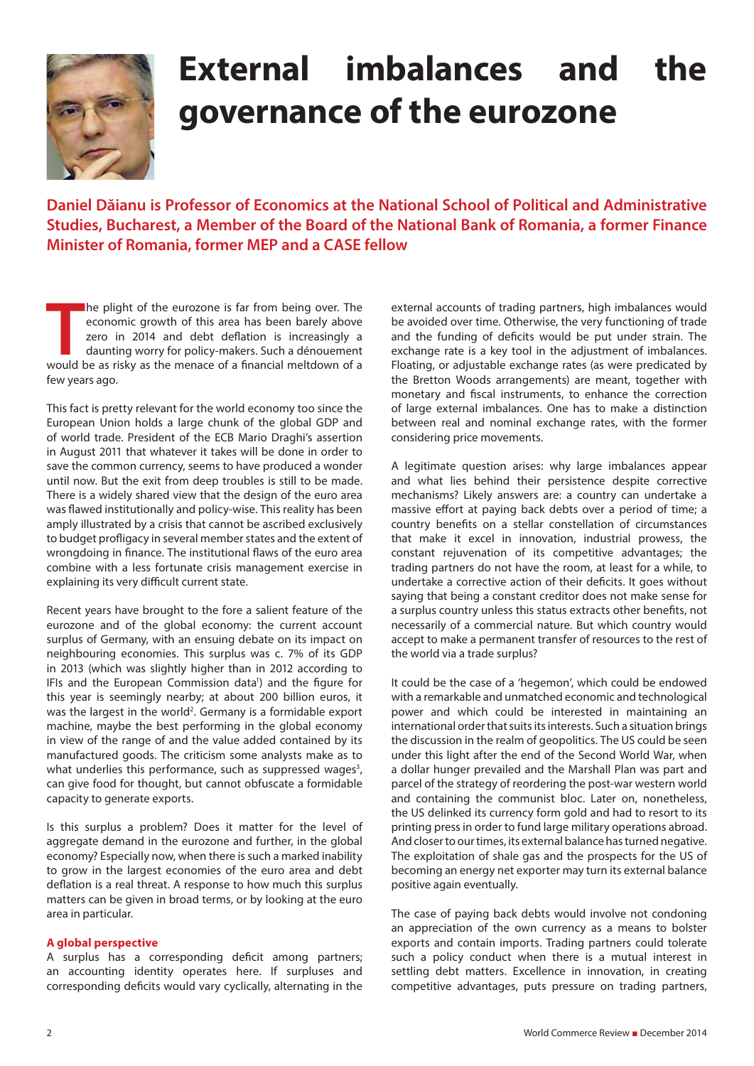

## **External imbalances and the governance of the eurozone**

**Daniel Dăianu is Professor of Economics at the National School of Political and Administrative Studies, Bucharest, a Member of the Board of the National Bank of Romania, a former Finance Minister of Romania, former MEP and a CASE fellow**

**THE MAN ISS AND THE MAN ISSUE OF A FIND AND THE MAN ISSUE OF A FINITE MOREOVERY A financial meltdown of a financial meltdown of a financial meltdown of a** he plight of the eurozone is far from being over. The economic growth of this area has been barely above zero in 2014 and debt deflation is increasingly a daunting worry for policy-makers. Such a dénouement few years ago.

This fact is pretty relevant for the world economy too since the European Union holds a large chunk of the global GDP and of world trade. President of the ECB Mario Draghi's assertion in August 2011 that whatever it takes will be done in order to save the common currency, seems to have produced a wonder until now. But the exit from deep troubles is still to be made. There is a widely shared view that the design of the euro area was flawed institutionally and policy-wise. This reality has been amply illustrated by a crisis that cannot be ascribed exclusively to budget profligacy in several member states and the extent of wrongdoing in finance. The institutional flaws of the euro area combine with a less fortunate crisis management exercise in explaining its very difficult current state.

Recent years have brought to the fore a salient feature of the eurozone and of the global economy: the current account surplus of Germany, with an ensuing debate on its impact on neighbouring economies. This surplus was c. 7% of its GDP in 2013 (which was slightly higher than in 2012 according to IFIs and the European Commission data<sup>1</sup>) and the figure for this year is seemingly nearby; at about 200 billion euros, it was the largest in the world<sup>2</sup>. Germany is a formidable export machine, maybe the best performing in the global economy in view of the range of and the value added contained by its manufactured goods. The criticism some analysts make as to what underlies this performance, such as suppressed wages<sup>3</sup>, can give food for thought, but cannot obfuscate a formidable capacity to generate exports.

Is this surplus a problem? Does it matter for the level of aggregate demand in the eurozone and further, in the global economy? Especially now, when there is such a marked inability to grow in the largest economies of the euro area and debt deflation is a real threat. A response to how much this surplus matters can be given in broad terms, or by looking at the euro area in particular.

## **A global perspective**

A surplus has a corresponding deficit among partners; an accounting identity operates here. If surpluses and corresponding deficits would vary cyclically, alternating in the external accounts of trading partners, high imbalances would be avoided over time. Otherwise, the very functioning of trade and the funding of deficits would be put under strain. The exchange rate is a key tool in the adjustment of imbalances. Floating, or adjustable exchange rates (as were predicated by the Bretton Woods arrangements) are meant, together with monetary and fiscal instruments, to enhance the correction of large external imbalances. One has to make a distinction between real and nominal exchange rates, with the former considering price movements.

A legitimate question arises: why large imbalances appear and what lies behind their persistence despite corrective mechanisms? Likely answers are: a country can undertake a massive effort at paying back debts over a period of time; a country benefits on a stellar constellation of circumstances that make it excel in innovation, industrial prowess, the constant rejuvenation of its competitive advantages; the trading partners do not have the room, at least for a while, to undertake a corrective action of their deficits. It goes without saying that being a constant creditor does not make sense for a surplus country unless this status extracts other benefits, not necessarily of a commercial nature. But which country would accept to make a permanent transfer of resources to the rest of the world via a trade surplus?

It could be the case of a 'hegemon', which could be endowed with a remarkable and unmatched economic and technological power and which could be interested in maintaining an international order that suits its interests. Such a situation brings the discussion in the realm of geopolitics. The US could be seen under this light after the end of the Second World War, when a dollar hunger prevailed and the Marshall Plan was part and parcel of the strategy of reordering the post-war western world and containing the communist bloc. Later on, nonetheless, the US delinked its currency form gold and had to resort to its printing press in order to fund large military operations abroad. And closer to our times, its external balance has turned negative. The exploitation of shale gas and the prospects for the US of becoming an energy net exporter may turn its external balance positive again eventually.

The case of paying back debts would involve not condoning an appreciation of the own currency as a means to bolster exports and contain imports. Trading partners could tolerate such a policy conduct when there is a mutual interest in settling debt matters. Excellence in innovation, in creating competitive advantages, puts pressure on trading partners,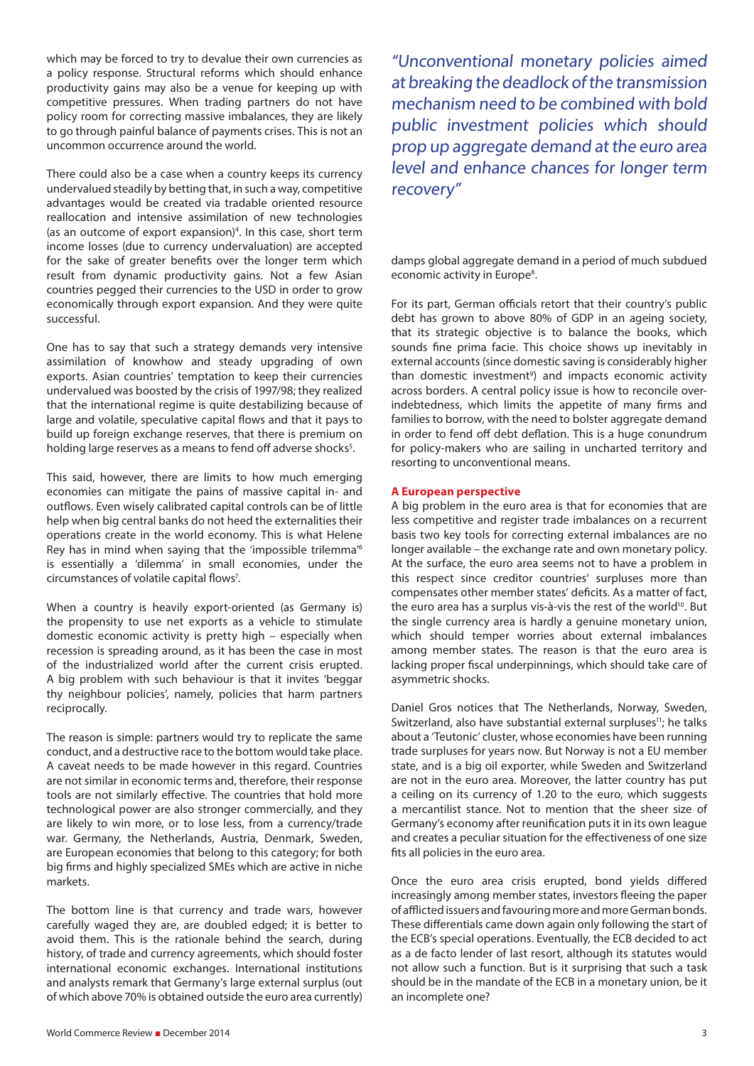which may be forced to try to devalue their own currencies as a policy response. Structural reforms which should enhance productivity gains may also be a venue for keeping up with competitive pressures. When trading partners do not have policy room for correcting massive imbalances, they are likely to go through painful balance of payments crises. This is not an uncommon occurrence around the world.

There could also be a case when a country keeps its currency undervalued steadily by betting that, in such a way, competitive advantages would be created via tradable oriented resource reallocation and intensive assimilation of new technologies (as an outcome of export expansion)<sup>4</sup>. In this case, short term income losses (due to currency undervaluation) are accepted for the sake of greater benefits over the longer term which result from dynamic productivity gains. Not a few Asian countries pegged their currencies to the USD in order to grow economically through export expansion. And they were quite successful.

One has to say that such a strategy demands very intensive assimilation of knowhow and steady upgrading of own exports. Asian countries' temptation to keep their currencies undervalued was boosted by the crisis of 1997/98; they realized that the international regime is quite destabilizing because of large and volatile, speculative capital flows and that it pays to build up foreign exchange reserves, that there is premium on holding large reserves as a means to fend off adverse shocks<sup>5</sup>.

This said, however, there are limits to how much emerging economies can mitigate the pains of massive capital in- and outflows. Even wisely calibrated capital controls can be of little help when big central banks do not heed the externalities their operations create in the world economy. This is what Helene Rey has in mind when saying that the 'impossible trilemma'6 is essentially a 'dilemma' in small economies, under the circumstances of volatile capital flows<sup>7</sup>.

When a country is heavily export-oriented (as Germany is) the propensity to use net exports as a vehicle to stimulate domestic economic activity is pretty high – especially when recession is spreading around, as it has been the case in most of the industrialized world after the current crisis erupted. A big problem with such behaviour is that it invites 'beggar thy neighbour policies', namely, policies that harm partners reciprocally.

The reason is simple: partners would try to replicate the same conduct, and a destructive race to the bottom would take place. A caveat needs to be made however in this regard. Countries are not similar in economic terms and, therefore, their response tools are not similarly effective. The countries that hold more technological power are also stronger commercially, and they are likely to win more, or to lose less, from a currency/trade war. Germany, the Netherlands, Austria, Denmark, Sweden, are European economies that belong to this category; for both big firms and highly specialized SMEs which are active in niche markets.

The bottom line is that currency and trade wars, however carefully waged they are, are doubled edged; it is better to avoid them. This is the rationale behind the search, during history, of trade and currency agreements, which should foster international economic exchanges. International institutions and analysts remark that Germany's large external surplus (out of which above 70% is obtained outside the euro area currently)

"Unconventional monetary policies aimed at breaking the deadlock of the transmission mechanism need to be combined with bold public investment policies which should prop up aggregate demand at the euro area level and enhance chances for longer term recovery"

damps global aggregate demand in a period of much subdued economic activity in Europe<sup>8</sup>.

For its part, German officials retort that their country's public debt has grown to above 80% of GDP in an ageing society, that its strategic objective is to balance the books, which sounds fine prima facie. This choice shows up inevitably in external accounts (since domestic saving is considerably higher than domestic investment<sup>9</sup>) and impacts economic activity across borders. A central policy issue is how to reconcile overindebtedness, which limits the appetite of many firms and families to borrow, with the need to bolster aggregate demand in order to fend off debt deflation. This is a huge conundrum for policy-makers who are sailing in uncharted territory and resorting to unconventional means.

## **A European perspective**

A big problem in the euro area is that for economies that are less competitive and register trade imbalances on a recurrent basis two key tools for correcting external imbalances are no longer available – the exchange rate and own monetary policy. At the surface, the euro area seems not to have a problem in this respect since creditor countries' surpluses more than compensates other member states' deficits. As a matter of fact, the euro area has a surplus vis-à-vis the rest of the world<sup>10</sup>. But the single currency area is hardly a genuine monetary union, which should temper worries about external imbalances among member states. The reason is that the euro area is lacking proper fiscal underpinnings, which should take care of asymmetric shocks.

Daniel Gros notices that The Netherlands, Norway, Sweden, Switzerland, also have substantial external surpluses<sup>11</sup>; he talks about a 'Teutonic' cluster, whose economies have been running trade surpluses for years now. But Norway is not a EU member state, and is a big oil exporter, while Sweden and Switzerland are not in the euro area. Moreover, the latter country has put a ceiling on its currency of 1.20 to the euro, which suggests a mercantilist stance. Not to mention that the sheer size of Germany's economy after reunification puts it in its own league and creates a peculiar situation for the effectiveness of one size fits all policies in the euro area.

Once the euro area crisis erupted, bond yields differed increasingly among member states, investors fleeing the paper of afflicted issuers and favouring more and more German bonds. These differentials came down again only following the start of the ECB's special operations. Eventually, the ECB decided to act as a de facto lender of last resort, although its statutes would not allow such a function. But is it surprising that such a task should be in the mandate of the ECB in a monetary union, be it an incomplete one?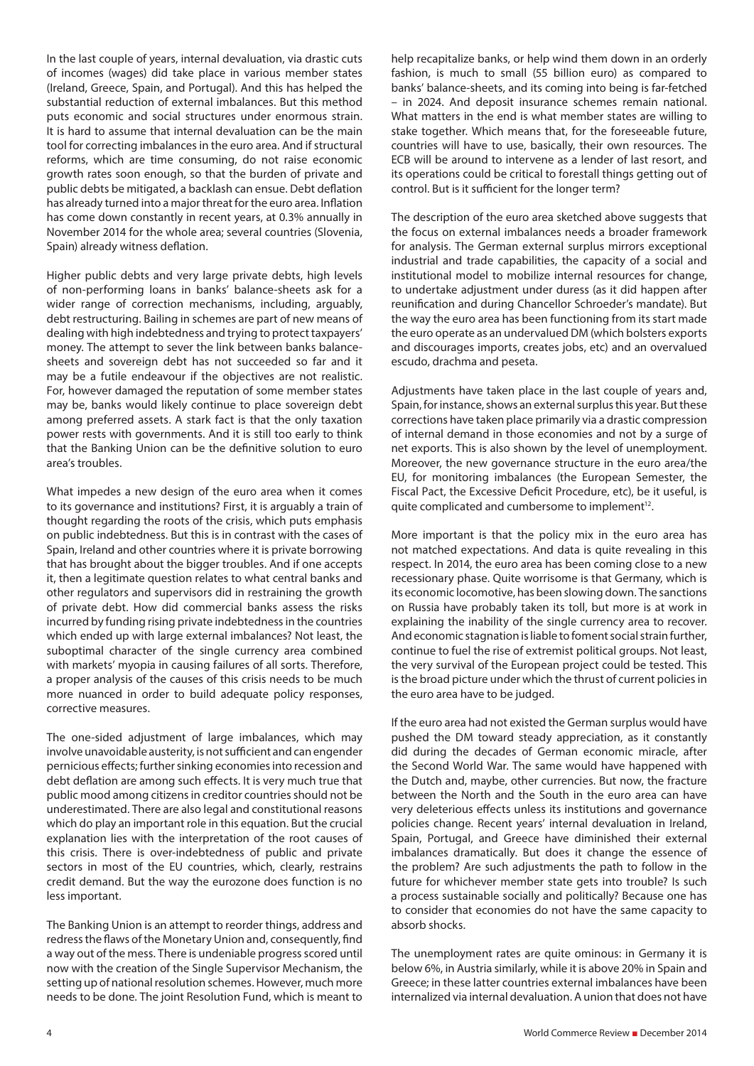In the last couple of years, internal devaluation, via drastic cuts of incomes (wages) did take place in various member states (Ireland, Greece, Spain, and Portugal). And this has helped the substantial reduction of external imbalances. But this method puts economic and social structures under enormous strain. It is hard to assume that internal devaluation can be the main tool for correcting imbalances in the euro area. And if structural reforms, which are time consuming, do not raise economic growth rates soon enough, so that the burden of private and public debts be mitigated, a backlash can ensue. Debt deflation has already turned into a major threat for the euro area. Inflation has come down constantly in recent years, at 0.3% annually in November 2014 for the whole area; several countries (Slovenia, Spain) already witness deflation.

Higher public debts and very large private debts, high levels of non-performing loans in banks' balance-sheets ask for a wider range of correction mechanisms, including, arguably, debt restructuring. Bailing in schemes are part of new means of dealing with high indebtedness and trying to protect taxpayers' money. The attempt to sever the link between banks balancesheets and sovereign debt has not succeeded so far and it may be a futile endeavour if the objectives are not realistic. For, however damaged the reputation of some member states may be, banks would likely continue to place sovereign debt among preferred assets. A stark fact is that the only taxation power rests with governments. And it is still too early to think that the Banking Union can be the definitive solution to euro area's troubles.

What impedes a new design of the euro area when it comes to its governance and institutions? First, it is arguably a train of thought regarding the roots of the crisis, which puts emphasis on public indebtedness. But this is in contrast with the cases of Spain, Ireland and other countries where it is private borrowing that has brought about the bigger troubles. And if one accepts it, then a legitimate question relates to what central banks and other regulators and supervisors did in restraining the growth of private debt. How did commercial banks assess the risks incurred by funding rising private indebtedness in the countries which ended up with large external imbalances? Not least, the suboptimal character of the single currency area combined with markets' myopia in causing failures of all sorts. Therefore, a proper analysis of the causes of this crisis needs to be much more nuanced in order to build adequate policy responses, corrective measures.

The one-sided adjustment of large imbalances, which may involve unavoidable austerity, is not sufficient and can engender pernicious effects; further sinking economies into recession and debt deflation are among such effects. It is very much true that public mood among citizens in creditor countries should not be underestimated. There are also legal and constitutional reasons which do play an important role in this equation. But the crucial explanation lies with the interpretation of the root causes of this crisis. There is over-indebtedness of public and private sectors in most of the EU countries, which, clearly, restrains credit demand. But the way the eurozone does function is no less important.

The Banking Union is an attempt to reorder things, address and redress the flaws of the Monetary Union and, consequently, find a way out of the mess. There is undeniable progress scored until now with the creation of the Single Supervisor Mechanism, the setting up of national resolution schemes. However, much more needs to be done. The joint Resolution Fund, which is meant to

help recapitalize banks, or help wind them down in an orderly fashion, is much to small (55 billion euro) as compared to banks' balance-sheets, and its coming into being is far-fetched – in 2024. And deposit insurance schemes remain national. What matters in the end is what member states are willing to stake together. Which means that, for the foreseeable future, countries will have to use, basically, their own resources. The ECB will be around to intervene as a lender of last resort, and its operations could be critical to forestall things getting out of control. But is it sufficient for the longer term?

The description of the euro area sketched above suggests that the focus on external imbalances needs a broader framework for analysis. The German external surplus mirrors exceptional industrial and trade capabilities, the capacity of a social and institutional model to mobilize internal resources for change, to undertake adjustment under duress (as it did happen after reunification and during Chancellor Schroeder's mandate). But the way the euro area has been functioning from its start made the euro operate as an undervalued DM (which bolsters exports and discourages imports, creates jobs, etc) and an overvalued escudo, drachma and peseta.

Adjustments have taken place in the last couple of years and, Spain, for instance, shows an external surplus this year. But these corrections have taken place primarily via a drastic compression of internal demand in those economies and not by a surge of net exports. This is also shown by the level of unemployment. Moreover, the new governance structure in the euro area/the EU, for monitoring imbalances (the European Semester, the Fiscal Pact, the Excessive Deficit Procedure, etc), be it useful, is quite complicated and cumbersome to implement<sup>12</sup>.

More important is that the policy mix in the euro area has not matched expectations. And data is quite revealing in this respect. In 2014, the euro area has been coming close to a new recessionary phase. Quite worrisome is that Germany, which is its economic locomotive, has been slowing down. The sanctions on Russia have probably taken its toll, but more is at work in explaining the inability of the single currency area to recover. And economic stagnation is liable to foment social strain further, continue to fuel the rise of extremist political groups. Not least, the very survival of the European project could be tested. This is the broad picture under which the thrust of current policies in the euro area have to be judged.

If the euro area had not existed the German surplus would have pushed the DM toward steady appreciation, as it constantly did during the decades of German economic miracle, after the Second World War. The same would have happened with the Dutch and, maybe, other currencies. But now, the fracture between the North and the South in the euro area can have very deleterious effects unless its institutions and governance policies change. Recent years' internal devaluation in Ireland, Spain, Portugal, and Greece have diminished their external imbalances dramatically. But does it change the essence of the problem? Are such adjustments the path to follow in the future for whichever member state gets into trouble? Is such a process sustainable socially and politically? Because one has to consider that economies do not have the same capacity to absorb shocks.

The unemployment rates are quite ominous: in Germany it is below 6%, in Austria similarly, while it is above 20% in Spain and Greece; in these latter countries external imbalances have been internalized via internal devaluation. A union that does not have